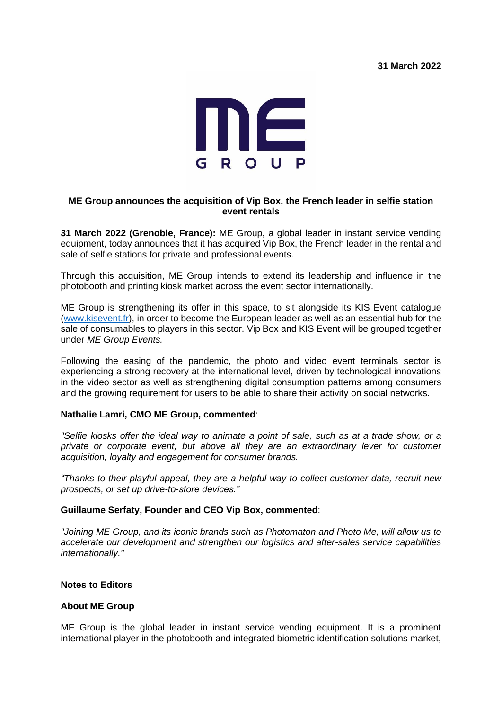**31 March 2022**



# **ME Group announces the acquisition of Vip Box, the French leader in selfie station event rentals**

**31 March 2022 (Grenoble, France):** ME Group, a global leader in instant service vending equipment, today announces that it has acquired Vip Box, the French leader in the rental and sale of selfie stations for private and professional events.

Through this acquisition, ME Group intends to extend its leadership and influence in the photobooth and printing kiosk market across the event sector internationally.

ME Group is strengthening its offer in this space, to sit alongside its KIS Event catalogue [\(www.kisevent.fr\)](http://www.kisevent.fr/), in order to become the European leader as well as an essential hub for the sale of consumables to players in this sector. Vip Box and KIS Event will be grouped together under *ME Group Events.* 

Following the easing of the pandemic, the photo and video event terminals sector is experiencing a strong recovery at the international level, driven by technological innovations in the video sector as well as strengthening digital consumption patterns among consumers and the growing requirement for users to be able to share their activity on social networks.

## **Nathalie Lamri, CMO ME Group, commented**:

*"Selfie kiosks offer the ideal way to animate a point of sale, such as at a trade show, or a private or corporate event, but above all they are an extraordinary lever for customer acquisition, loyalty and engagement for consumer brands.* 

*"Thanks to their playful appeal, they are a helpful way to collect customer data, recruit new prospects, or set up drive-to-store devices."*

### **Guillaume Serfaty, Founder and CEO Vip Box, commented**:

*"Joining ME Group, and its iconic brands such as Photomaton and Photo Me, will allow us to accelerate our development and strengthen our logistics and after-sales service capabilities internationally."*

## **Notes to Editors**

## **About ME Group**

ME Group is the global leader in instant service vending equipment. It is a prominent international player in the photobooth and integrated biometric identification solutions market,